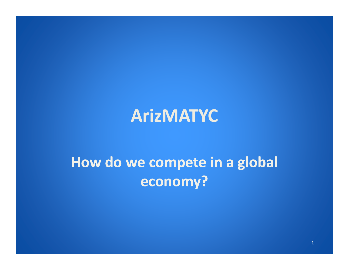#### **ArizMATYC**

#### **How do we compete in <sup>a</sup> global economy?**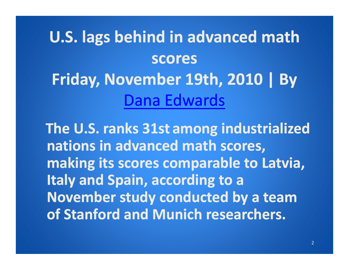# **U.S. lags behind in advanced math scores Friday, November 19th, 2010 | By** Dana Edwards

**The U.S. ranks 31st among industrialized nations in advanced math scores, making its scores comparable to Latvia, ltaly** and Spain, according to a **November study conducted by <sup>a</sup> team of Stanford and Munich researchers.**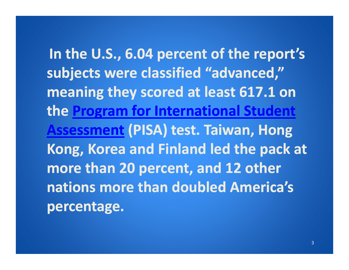**In the U S. ., 6 04. percent of the report's subjects were classified "advanced," meaning they scored at least 617.1 on the Program for International Student Assessment (PISA) test. Taiwan, Hong Kong, Korea and Finland led the pack at more than 20 percent, and 12 other nations more than doubled America s America's percentage.**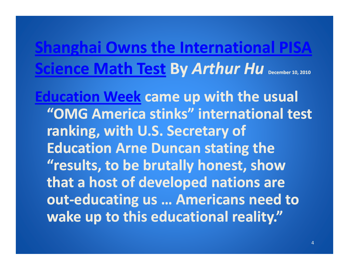## **Shanghai Owns the International PISA Science Math Test By** *Arthur Hu* **December 10, <sup>2010</sup>**

**Education Week came up with the usual "OMG America stinks" international test ranking, with U.S. Secretary of Education Arne Duncan stating the "results, to be brutally honest, show that a host of developed nations are out‐educating us … Americans need to wake up to this educational reality."**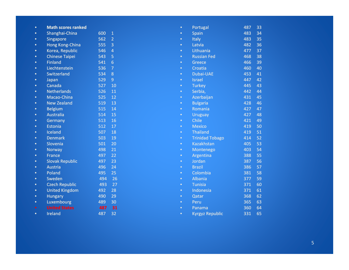| $\bullet$ | <b>Math scores ranked</b> |     |                | $\bullet$ | Portugal               | 487 | 33 |
|-----------|---------------------------|-----|----------------|-----------|------------------------|-----|----|
| $\bullet$ | Shanghai-China            | 600 | $\mathbf{1}$   | $\bullet$ | Spain                  | 483 | 34 |
| $\bullet$ | <b>Singapore</b>          | 562 | $\overline{2}$ | $\bullet$ | <b>Italy</b>           | 483 | 35 |
| $\bullet$ | <b>Hong Kong-China</b>    | 555 | 3              | $\bullet$ | Latvia                 | 482 | 36 |
| $\bullet$ | Korea, Republic           | 546 | $\overline{4}$ | $\bullet$ | Lithuania              | 477 | 37 |
| $\bullet$ | <b>Chinese Taipei</b>     | 543 | 5              | $\bullet$ | <b>Russian Fed</b>     | 468 | 38 |
| $\bullet$ | <b>Finland</b>            | 541 | 6              | $\bullet$ | Greece                 | 466 | 39 |
| $\bullet$ | Liechtenstein             | 536 | $\overline{7}$ | $\bullet$ | Croatia                | 460 | 40 |
| $\bullet$ | Switzerland               | 534 | 8              | $\bullet$ | <b>Dubai-UAE</b>       | 453 | 41 |
| $\bullet$ | Japan                     | 529 | 9              | $\bullet$ | <b>Israel</b>          | 447 | 42 |
| $\bullet$ | Canada                    | 527 | 10             | $\bullet$ | <b>Turkey</b>          | 445 | 43 |
| $\bullet$ | <b>Netherlands</b>        | 526 | 11             | $\bullet$ | Serbia,                | 442 | 44 |
| $\bullet$ | Macao-China               | 525 | 12             | $\bullet$ | Azerbaijan             | 431 | 45 |
| $\bullet$ | <b>New Zealand</b>        | 519 | 13             | $\bullet$ | <b>Bulgaria</b>        | 428 | 46 |
| $\bullet$ | <b>Belgium</b>            | 515 | 14             | $\bullet$ | Romania                | 427 | 47 |
| $\bullet$ | <b>Australia</b>          | 514 | 15             | $\bullet$ | <b>Uruguay</b>         | 427 | 48 |
| $\bullet$ | Germany                   | 513 | 16             | $\bullet$ | Chile                  | 421 | 49 |
| $\bullet$ | <b>Estonia</b>            | 512 | 17             | $\bullet$ | <b>Mexico</b>          | 419 | 50 |
| $\bullet$ | Iceland                   | 507 | 18             | $\bullet$ | <b>Thailand</b>        | 419 | 51 |
| $\bullet$ | <b>Denmark</b>            | 503 | 19             | $\bullet$ | <b>Trinidad Tobago</b> | 414 | 52 |
| $\bullet$ | Slovenia                  | 501 | 20             | $\bullet$ | <b>Kazakhstan</b>      | 405 | 53 |
| $\bullet$ | <b>Norway</b>             | 498 | 21             | $\bullet$ | Montenego              | 403 | 54 |
| $\bullet$ | <b>France</b>             | 497 | 22             | $\bullet$ | Argentina              | 388 | 55 |
| $\bullet$ | <b>Slovak Republic</b>    | 497 | 23             | $\bullet$ | Jordan                 | 387 | 56 |
| $\bullet$ | <b>Austria</b>            | 496 | 24             | $\bullet$ | <b>Brazil</b>          | 386 | 57 |
| $\bullet$ | Poland                    | 495 | 25             | $\bullet$ | Colombia               | 381 | 58 |
| $\bullet$ | Sweden                    | 494 | 26             | $\bullet$ | <b>Albania</b>         | 377 | 59 |
| $\bullet$ | <b>Czech Republic</b>     | 493 | 27             | $\bullet$ | <b>Tunisia</b>         | 371 | 60 |
| $\bullet$ | <b>United Kingdom</b>     | 492 | 28             | $\bullet$ | Indonesia              | 371 | 61 |
| $\bullet$ | <b>Hungary</b>            | 490 | 29             | $\bullet$ | Qatar                  | 368 | 62 |
| $\bullet$ | Luxembourg                | 489 | 30             | $\bullet$ | Peru                   | 365 | 63 |
| $\bullet$ | <b>United States</b>      | 487 | 31             | $\bullet$ | Panama                 | 360 | 64 |
| $\bullet$ | Ireland                   | 487 | 32             | $\bullet$ | <b>Kyrgyz Republic</b> | 331 | 65 |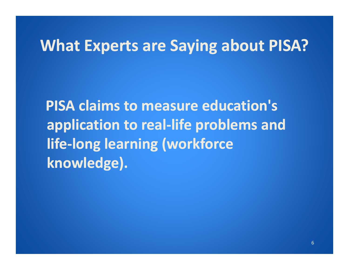#### **What Experts are Saying about PISA?**

**PISA claims to measure education's application to real‐life problems and life‐long learning (workforce knowledge).**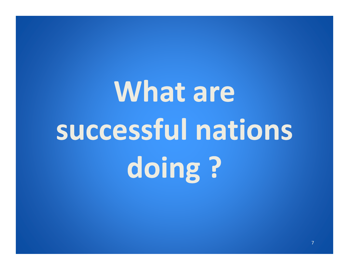# **What** are **successful nations doing ?**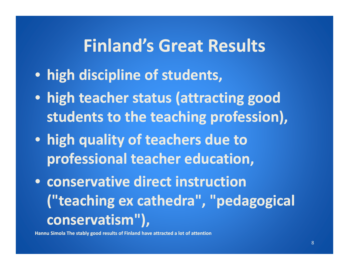#### **Finland's Great Results**

- **high discipline of students,**
- **high teacher status (attracting good students to the teaching profession) profession),**
- **high quality of teachers due to professional teacher education,**
- **conservative direct instruction("teaching ex cathedra", "pedagogical conservatism ) " ,**

**Hannu Simola The stably good results of Finland have attracted <sup>a</sup> lot of attention**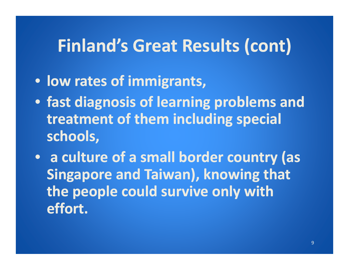# **Finland's Great Results (cont)**

- **low rates of immigrants,**
- **fast diagnosis of learning problems and treatment of them including special schools,**
- **a culture of a small b d or er country (as Singapore and Taiwan), knowing that the people could survive only with effort.**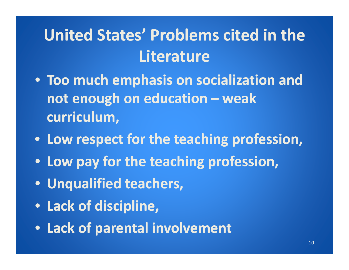# **United States' Problems cited in the Literature**

- **Too much emphasis on socialization and not enough on education – weak curriculum,**
- **Low respect respectfor the teaching profession,**
- **Low pay for the teaching profession,**
- **Unqualified teachers,**
- **Lack of discipline,**
- **Lack of parental involvement**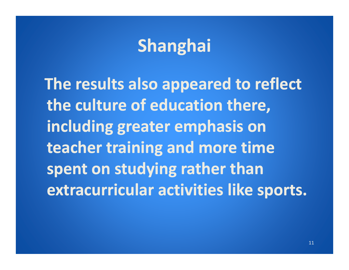# **Shanghai**

**The results also appeared to reflect the culture of education there, including greater emphasis on teacher training and more time spent on studying rather than** *Reference <b>Propisher activities* like sports.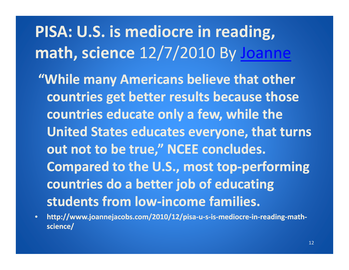# **PISA: U.S. is mediocre in reading, math, science** 12/7/2010 By Joanne

- **"While many Americans believe that other countries get better results because those countries educate only <sup>a</sup> few, while the United States educates everyone, that turns out not to be true," NCEE concludes. Compared to the U.S., most top‐performing countries do <sup>a</sup> better job of educating students from low‐income families.**
- •http://www.joannejacobs.com/2010/12/pisa-u-s-is-mediocre-in-reading-math**science/**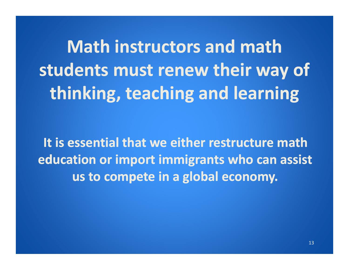**Math instructors and math students must renew their way of thinking, teaching and learning**

**It is essential that we either restructure matheducation or import immigrants who can assist us to compete in <sup>a</sup> global economy.**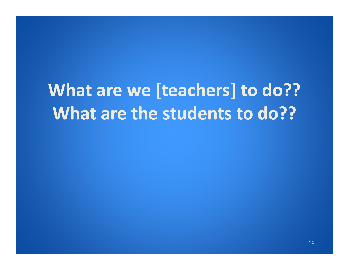# **What are we [teachers] to do?? What are the students to do??**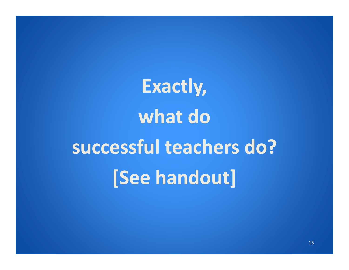**Exactly, what do successful teachers do? [See handout]**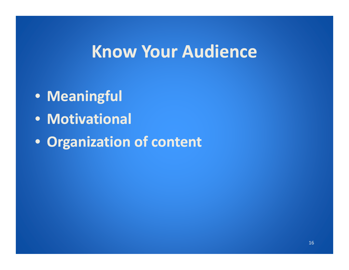#### **Know Your Audience**

- **Meaningful**
- **Motivational**
- **Organization of content**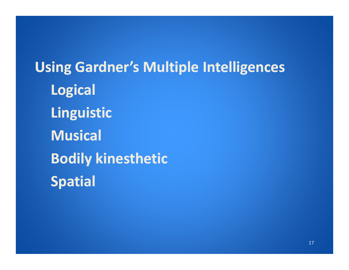**Using Gardner's Multiple Intelligences Logical** *<u><b>Linguistic*</u> **Musical Bodily kinesthetic Spatial**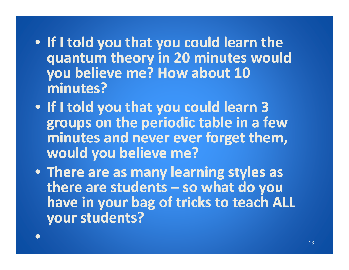- **If I told you that you could learn the quantum theory in 20 minutes would you believe me? How about 10 mi t? nutes?**
- **If I told you that you could learn 3 groups on t h e per i di o c tabl e i n a few minutes and never ever forget them, would you believe me?**
- **There are as many learning styles as there are students – so what do you have in your bag of tricks to teach ALL your students?**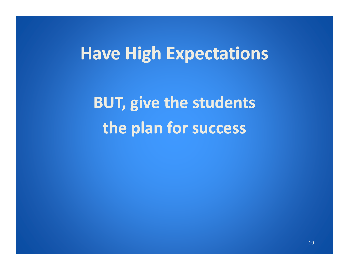#### **Have Hi hg E <sup>t</sup> ti xpectations**

**BUT, give the students the plan for success**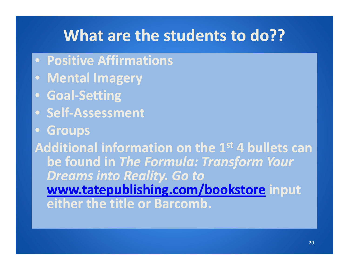#### **What are the students to do??**

- **Positive Affirmations**
- **Mental Imag y er**
- **Goal‐Setting**
- **Self‐Assessment**
- •**Groups**

**Additional information on the 1st 1 4 bullets can be found in** *The Formula: Transform Your Dreams into Reality. Go to* **www.t <sup>t</sup> bli hi /b k <sup>t</sup> tatepublishing.com/bookstore i <sup>t</sup> npu either the title or Barcomb.**